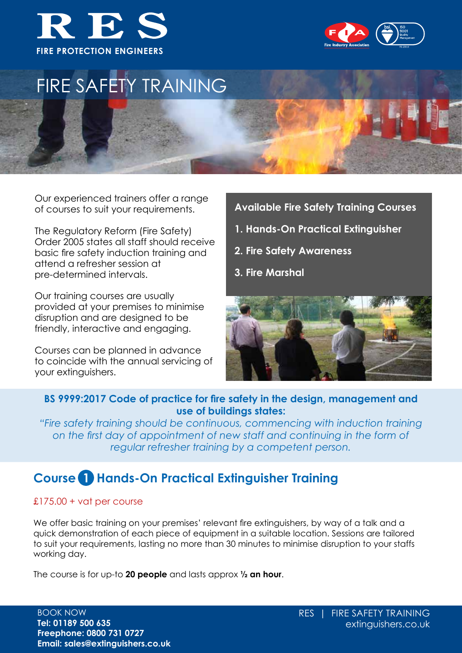



# FIRE SAFETY TRAINING

Our experienced trainers offer a range of courses to suit your requirements.

The Regulatory Reform (Fire Safety) Order 2005 states all staff should receive basic fire safety induction training and attend a refresher session at pre-determined intervals.

Our training courses are usually provided at your premises to minimise disruption and are designed to be friendly, interactive and engaging.

Courses can be planned in advance to coincide with the annual servicing of your extinguishers.

### **Available Fire Safety Training Courses**

- **1. Hands-On Practical Extinguisher**
- **2. Fire Safety Awareness**
- **3. Fire Marshal**



### **BS 9999:2017 Code of practice for fire safety in the design, management and use of buildings states:**

*"Fire safety training should be continuous, commencing with induction training on the first day of appointment of new staff and continuing in the form of regular refresher training by a competent person.*

### **Course 1 Hands-On Practical Extinguisher Training**

### £175.00 + vat per course

We offer basic training on your premises' relevant fire extinguishers, by way of a talk and a quick demonstration of each piece of equipment in a suitable location. Sessions are tailored to suit your requirements, lasting no more than 30 minutes to minimise disruption to your staffs working day.

The course is for up-to **20 people** and lasts approx **½ an hour**.

BOOK NOW **Tel: 01189 500 635 Freephone: 0800 731 0727 Email: sales@extinguishers.co.uk**